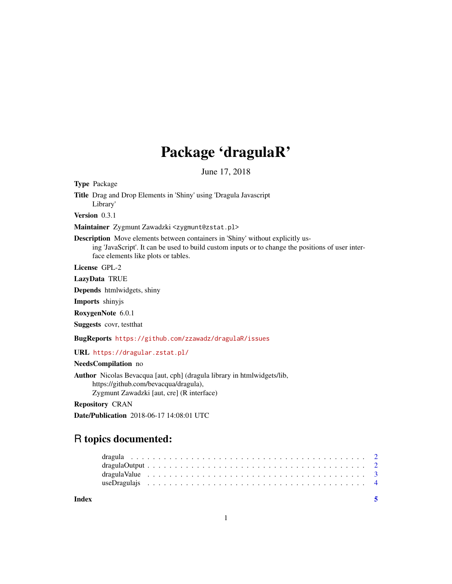## Package 'dragulaR'

June 17, 2018

Type Package

Title Drag and Drop Elements in 'Shiny' using 'Dragula Javascript Library'

Version 0.3.1

Maintainer Zygmunt Zawadzki <zygmunt@zstat.pl>

Description Move elements between containers in 'Shiny' without explicitly using 'JavaScript'. It can be used to build custom inputs or to change the positions of user interface elements like plots or tables.

License GPL-2

LazyData TRUE

Depends htmlwidgets, shiny

Imports shinyjs

RoxygenNote 6.0.1

Suggests covr, testthat

BugReports <https://github.com/zzawadz/dragulaR/issues>

URL <https://dragular.zstat.pl/>

NeedsCompilation no

Author Nicolas Bevacqua [aut, cph] (dragula library in htmlwidgets/lib, https://github.com/bevacqua/dragula), Zygmunt Zawadzki [aut, cre] (R interface)

Repository CRAN

Date/Publication 2018-06-17 14:08:01 UTC

### R topics documented:

**Index** [5](#page-4-0). The second state of the second state of the second state of the second state of the second state of the second state of the second state of the second state of the second state of the second state of the second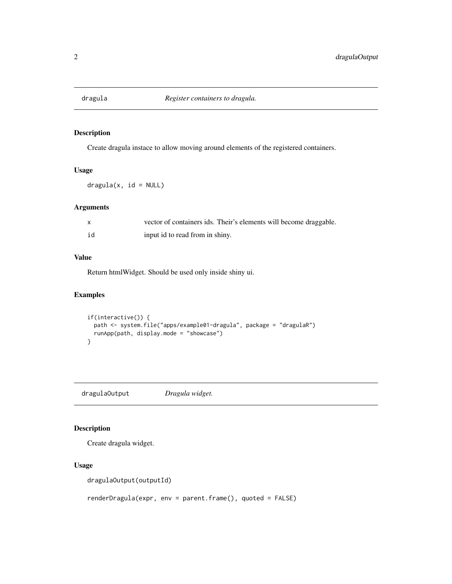<span id="page-1-0"></span>

#### Description

Create dragula instace to allow moving around elements of the registered containers.

#### Usage

 $dragula(x, id = NULL)$ 

#### Arguments

|    | vector of containers ids. Their's elements will become draggable. |
|----|-------------------------------------------------------------------|
| id | input id to read from in shiny.                                   |

#### Value

Return htmlWidget. Should be used only inside shiny ui.

#### Examples

```
if(interactive()) {
  path <- system.file("apps/example01-dragula", package = "dragulaR")
  runApp(path, display.mode = "showcase")
}
```
dragulaOutput *Dragula widget.*

#### Description

Create dragula widget.

#### Usage

dragulaOutput(outputId)

renderDragula(expr, env = parent.frame(), quoted = FALSE)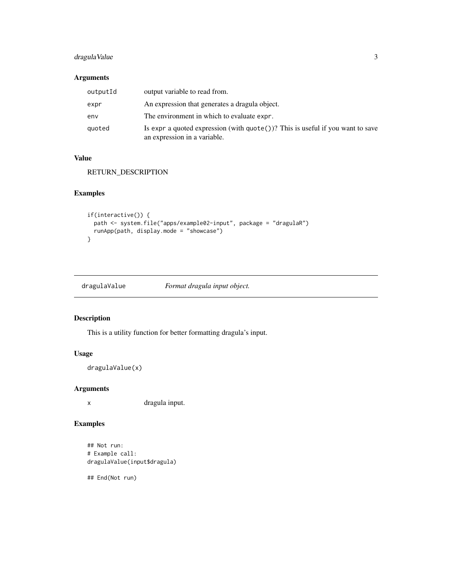#### <span id="page-2-0"></span>dragulaValue 3

#### Arguments

| outputId | output variable to read from.                                                                                            |
|----------|--------------------------------------------------------------------------------------------------------------------------|
| expr     | An expression that generates a dragula object.                                                                           |
| env      | The environment in which to evaluate expr.                                                                               |
| quoted   | Is expr a quoted expression (with $\text{quote}()$ )? This is useful if you want to save<br>an expression in a variable. |

#### Value

RETURN\_DESCRIPTION

#### Examples

```
if(interactive()) {
  path <- system.file("apps/example02-input", package = "dragulaR")
  runApp(path, display.mode = "showcase")
}
```
dragulaValue *Format dragula input object.*

#### Description

This is a utility function for better formatting dragula's input.

#### Usage

```
dragulaValue(x)
```
#### Arguments

x dragula input.

#### Examples

```
## Not run:
# Example call:
dragulaValue(input$dragula)
```
## End(Not run)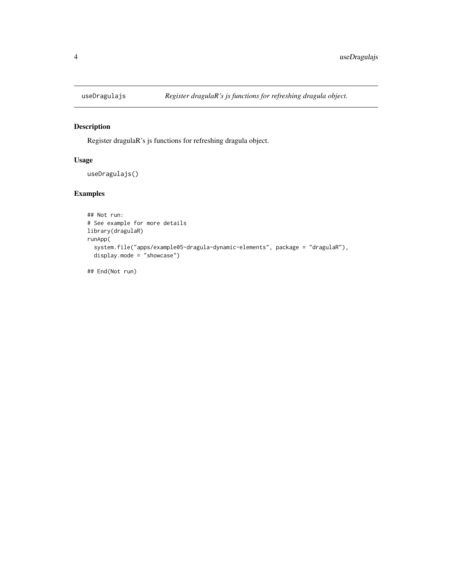<span id="page-3-0"></span>

#### Description

Register dragulaR's js functions for refreshing dragula object.

#### Usage

```
useDragulajs()
```
#### Examples

```
## Not run:
# See example for more details
library(dragulaR)
runApp(
  system.file("apps/example05-dragula-dynamic-elements", package = "dragulaR"),
  display.mode = "showcase")
```
## End(Not run)